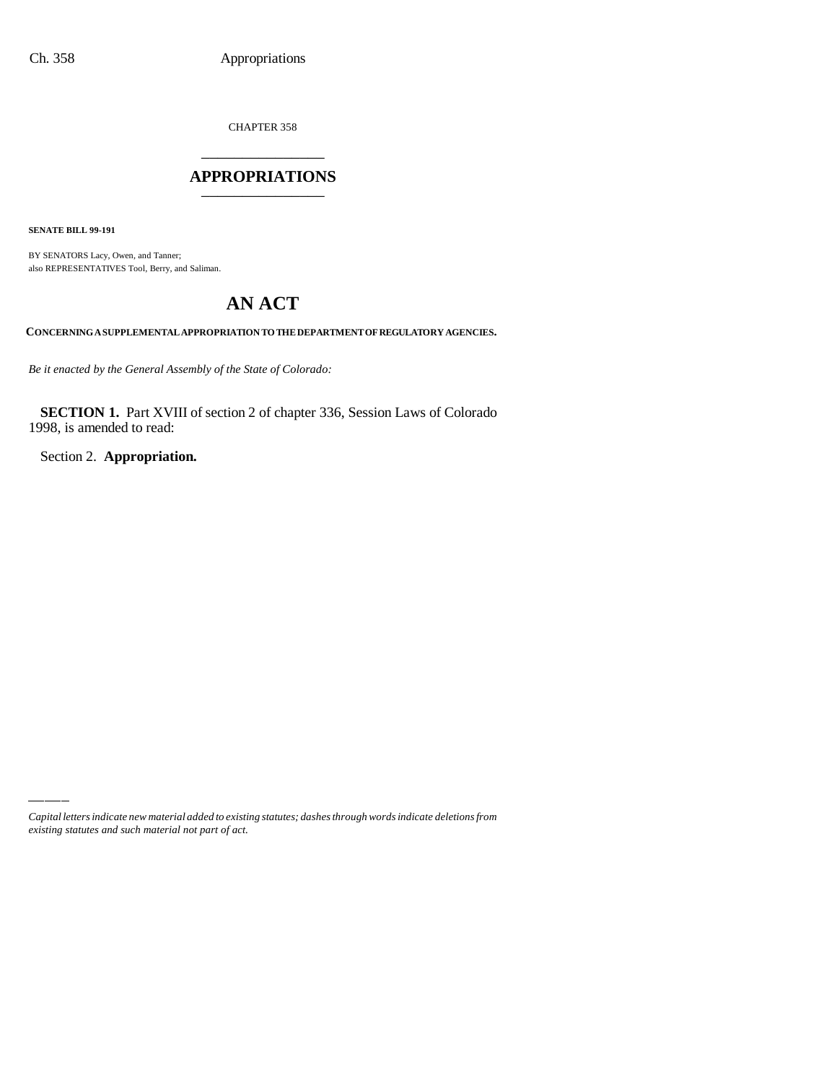CHAPTER 358

## \_\_\_\_\_\_\_\_\_\_\_\_\_\_\_ **APPROPRIATIONS** \_\_\_\_\_\_\_\_\_\_\_\_\_\_\_

**SENATE BILL 99-191**

BY SENATORS Lacy, Owen, and Tanner; also REPRESENTATIVES Tool, Berry, and Saliman.

# **AN ACT**

**CONCERNING A SUPPLEMENTAL APPROPRIATION TO THE DEPARTMENT OF REGULATORY AGENCIES.**

*Be it enacted by the General Assembly of the State of Colorado:*

**SECTION 1.** Part XVIII of section 2 of chapter 336, Session Laws of Colorado 1998, is amended to read:

Section 2. **Appropriation.**

*Capital letters indicate new material added to existing statutes; dashes through words indicate deletions from existing statutes and such material not part of act.*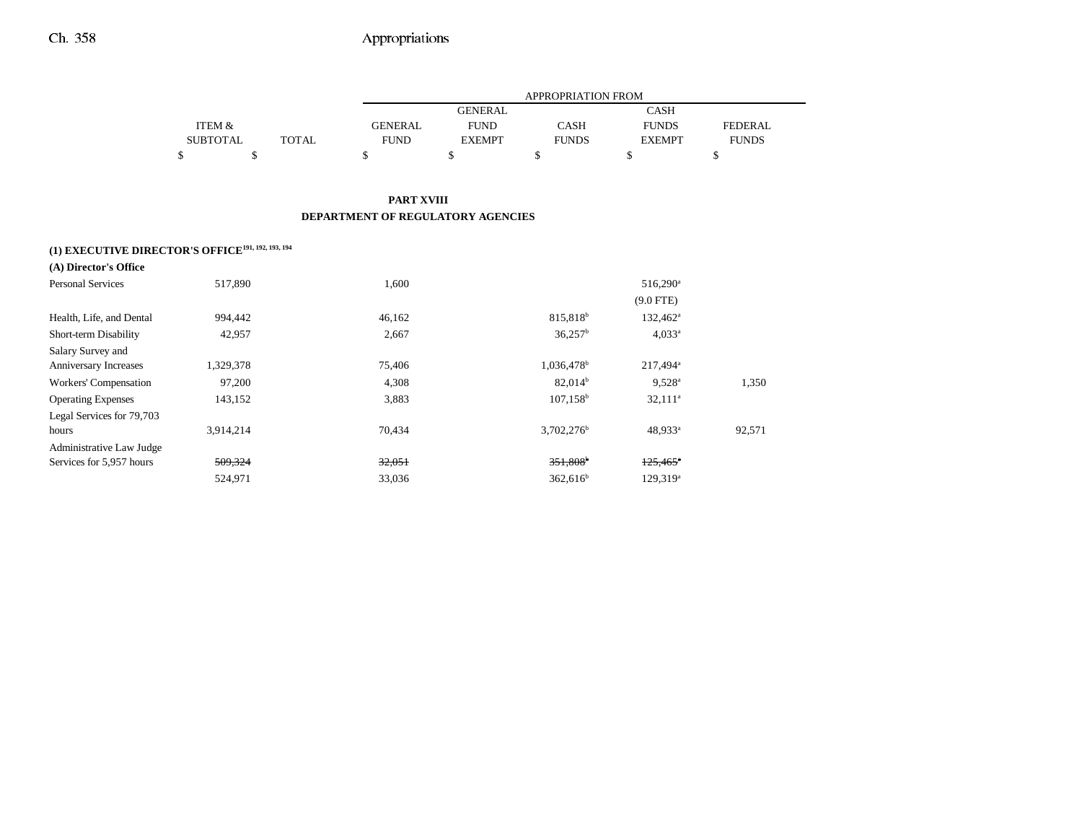|                 |       |                |                | <b>APPROPRIATION FROM</b> |               |                |
|-----------------|-------|----------------|----------------|---------------------------|---------------|----------------|
|                 |       |                | <b>GENERAL</b> |                           | <b>CASH</b>   |                |
| ITEM &          |       | <b>GENERAL</b> | <b>FUND</b>    | <b>CASH</b>               | <b>FUNDS</b>  | <b>FEDERAL</b> |
| <b>SUBTOTAL</b> | TOTAL | <b>FUND</b>    | <b>EXEMPT</b>  | <b>FUNDS</b>              | <b>EXEMPT</b> | <b>FUNDS</b>   |
|                 |       |                |                |                           |               |                |

### **PART XVIII DEPARTMENT OF REGULATORY AGENCIES**

## **(1) EXECUTIVE DIRECTOR'S OFFICE191, 192, 193, 194**

| (A) Director's Office     |           |        |                        |                        |        |
|---------------------------|-----------|--------|------------------------|------------------------|--------|
| <b>Personal Services</b>  | 517,890   | 1.600  |                        | $516.290^{\circ}$      |        |
|                           |           |        |                        | $(9.0$ FTE)            |        |
| Health, Life, and Dental  | 994,442   | 46,162 | 815,818 <sup>b</sup>   | $132,462^{\rm a}$      |        |
| Short-term Disability     | 42,957    | 2,667  | $36,257^{\rm b}$       | $4,033^a$              |        |
| Salary Survey and         |           |        |                        |                        |        |
| Anniversary Increases     | 1,329,378 | 75,406 | 1,036,478 <sup>b</sup> | $217,494^a$            |        |
| Workers' Compensation     | 97,200    | 4,308  | $82,014^b$             | $9,528^{\circ}$        | 1,350  |
| <b>Operating Expenses</b> | 143,152   | 3,883  | $107,158^{\rm b}$      | $32,111^a$             |        |
| Legal Services for 79,703 |           |        |                        |                        |        |
| hours                     | 3.914.214 | 70.434 | 3.702.276 <sup>b</sup> | $48.933^a$             | 92,571 |
| Administrative Law Judge  |           |        |                        |                        |        |
| Services for 5,957 hours  | 509,324   | 32,051 | $351,808$ <sup>b</sup> | $125,465$ <sup>*</sup> |        |
|                           | 524,971   | 33,036 | 362.616 <sup>b</sup>   | $129,319^a$            |        |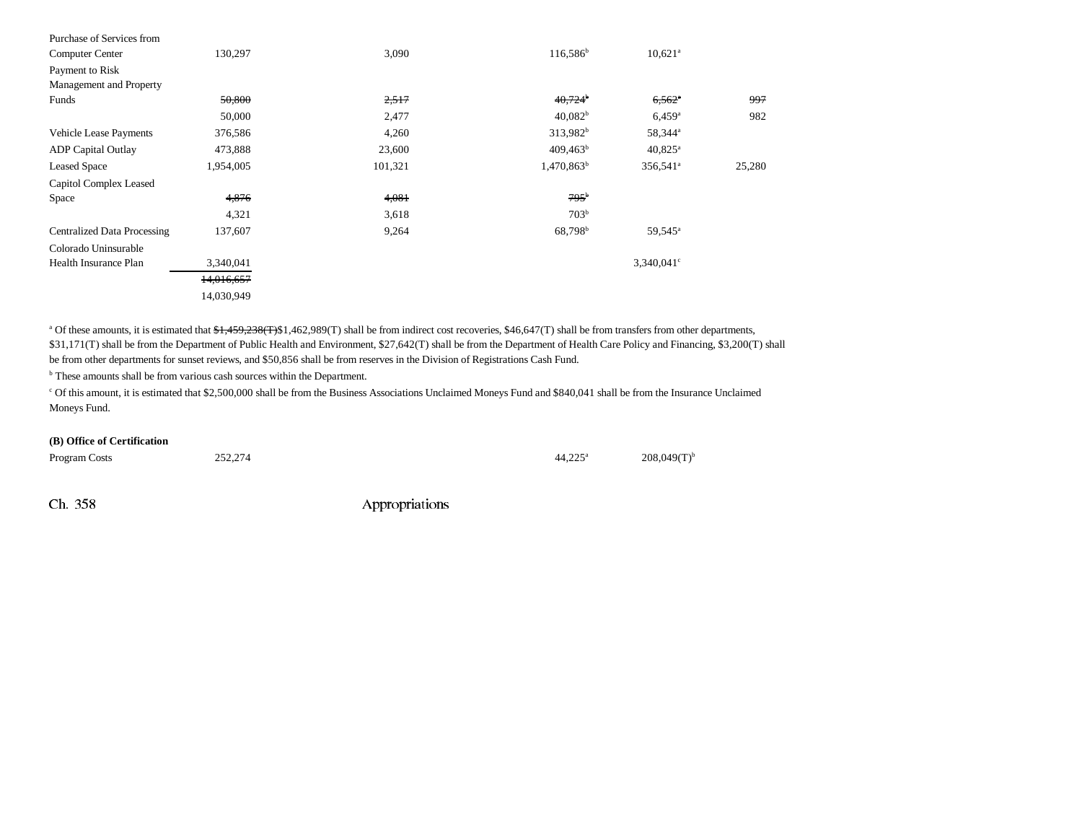| Purchase of Services from          |            |         |                       |                        |        |
|------------------------------------|------------|---------|-----------------------|------------------------|--------|
| Computer Center                    | 130,297    | 3,090   | 116,586 <sup>b</sup>  | $10,621$ <sup>a</sup>  |        |
| Payment to Risk                    |            |         |                       |                        |        |
| Management and Property            |            |         |                       |                        |        |
| Funds                              | 50,800     | 2,517   | $40,724$ <sup>b</sup> | $6,562$ <sup>a</sup>   | 997    |
|                                    | 50,000     | 2,477   | 40,082 <sup>b</sup>   | $6,459^{\rm a}$        | 982    |
| <b>Vehicle Lease Payments</b>      | 376,586    | 4,260   | 313,982 <sup>b</sup>  | 58,344 <sup>a</sup>    |        |
| <b>ADP</b> Capital Outlay          | 473,888    | 23,600  | $409,463^b$           | $40,825$ <sup>a</sup>  |        |
| <b>Leased Space</b>                | 1,954,005  | 101,321 | $1,470,863^b$         | $356,541$ <sup>a</sup> | 25,280 |
| Capitol Complex Leased             |            |         |                       |                        |        |
| Space                              | 4,876      | 4,081   | $795^{\circ}$         |                        |        |
|                                    | 4,321      | 3,618   | 703 <sup>b</sup>      |                        |        |
| <b>Centralized Data Processing</b> | 137,607    | 9,264   | 68,798 <sup>b</sup>   | 59,545 <sup>a</sup>    |        |
| Colorado Uninsurable               |            |         |                       |                        |        |
| Health Insurance Plan              | 3,340,041  |         |                       | $3,340,041$ c          |        |
|                                    | 14,016,657 |         |                       |                        |        |
|                                    | 14,030,949 |         |                       |                        |        |

<sup>a</sup> Of these amounts, it is estimated that  $\frac{$1,459,238(T) $1,462,989(T) $$  shall be from indirect cost recoveries, \$46,647(T) shall be from transfers from other departments, \$31,171(T) shall be from the Department of Public Health and Environment, \$27,642(T) shall be from the Department of Health Care Policy and Financing, \$3,200(T) shall be from other departments for sunset reviews, and \$50,856 shall be from reserves in the Division of Registrations Cash Fund.

 $^{\rm b}$  These amounts shall be from various cash sources within the Department.

c Of this amount, it is estimated that \$2,500,000 shall be from the Business Associations Unclaimed Moneys Fund and \$840,041 shall be from the Insurance Unclaimed Moneys Fund.

#### **(B) Office of Certification**

Program Costs 252,274 208,049(T)<sup>b</sup>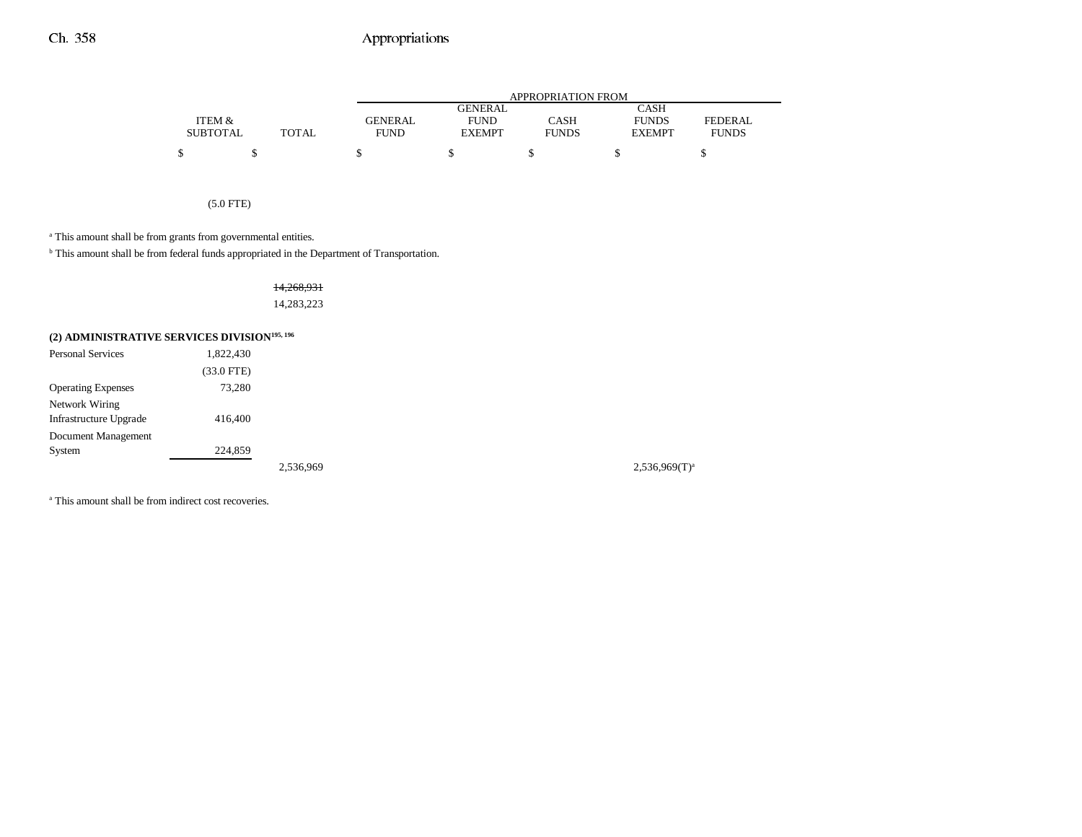|                 |       |                |                | <b>APPROPRIATION FROM</b> |               |              |
|-----------------|-------|----------------|----------------|---------------------------|---------------|--------------|
|                 |       |                | <b>GENERAL</b> |                           | <b>CASH</b>   |              |
| ITEM &          |       | <b>GENERAL</b> | <b>FUND</b>    | CASH                      | <b>FUNDS</b>  | FEDERAL      |
| <b>SUBTOTAL</b> | TOTAL | <b>FUND</b>    | <b>EXEMPT</b>  | <b>FUNDS</b>              | <b>EXEMPT</b> | <b>FUNDS</b> |
| S               |       |                |                |                           |               |              |

(5.0 FTE)

<sup>a</sup> This amount shall be from grants from governmental entities.

b This amount shall be from federal funds appropriated in the Department of Transportation.

14,268,931 14,283,223

## **(2) ADMINISTRATIVE SERVICES DIVISION195, 196**

| <b>Personal Services</b>  | 1,822,430       |           |                    |
|---------------------------|-----------------|-----------|--------------------|
|                           | $(33.0$ FTE $)$ |           |                    |
| <b>Operating Expenses</b> | 73,280          |           |                    |
| Network Wiring            |                 |           |                    |
| Infrastructure Upgrade    | 416,400         |           |                    |
| Document Management       |                 |           |                    |
| System                    | 224,859         |           |                    |
|                           |                 | 2,536,969 | $2,536,969(T)^{a}$ |

<sup>a</sup> This amount shall be from indirect cost recoveries.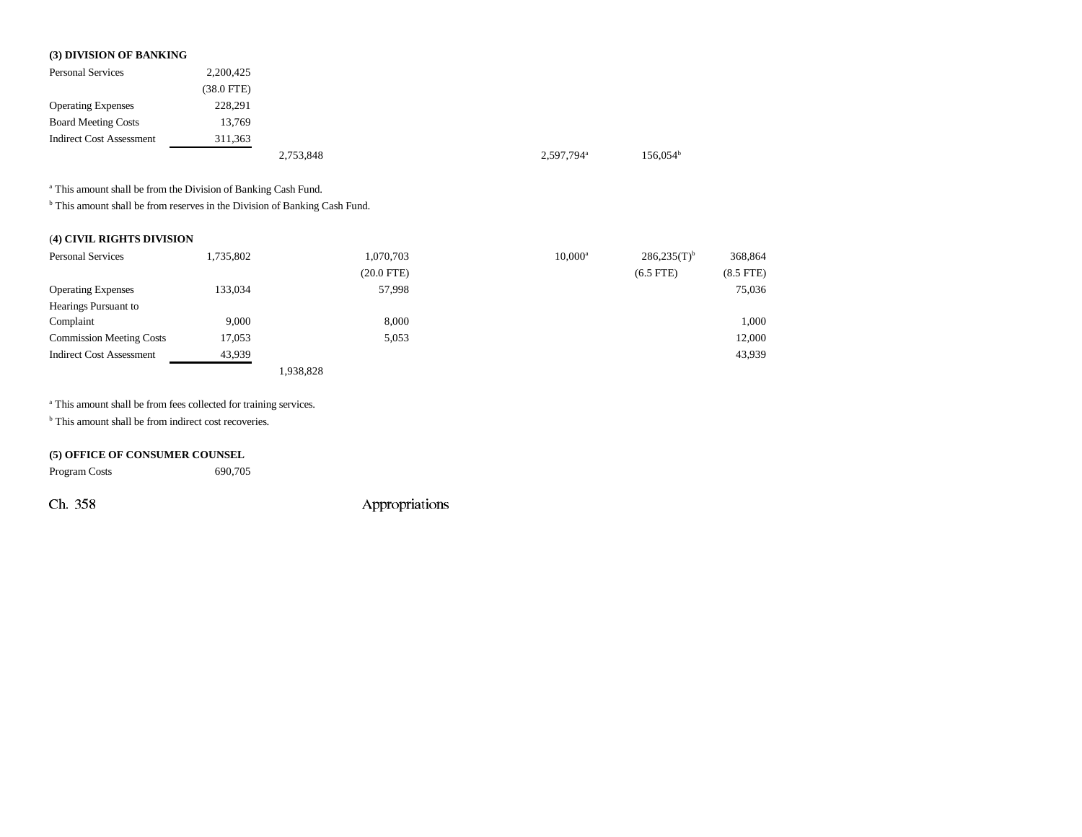#### **(3) DIVISION OF BANKING**

| <b>Personal Services</b>        | 2,200,425       |           |                        |                      |
|---------------------------------|-----------------|-----------|------------------------|----------------------|
|                                 | $(38.0$ FTE $)$ |           |                        |                      |
| <b>Operating Expenses</b>       | 228,291         |           |                        |                      |
| <b>Board Meeting Costs</b>      | 13,769          |           |                        |                      |
| <b>Indirect Cost Assessment</b> | 311,363         |           |                        |                      |
|                                 |                 | 2,753,848 | 2,597,794 <sup>a</sup> | 156.054 <sup>b</sup> |

a This amount shall be from the Division of Banking Cash Fund.

 $^{\rm b}$  This amount shall be from reserves in the Division of Banking Cash Fund.

### (**4) CIVIL RIGHTS DIVISION**

| <b>Personal Services</b>        | 1,735,802 |           | 1,070,703    | $10.000^{\rm a}$ | $286,235(T)$ <sup>b</sup> | 368,864        |
|---------------------------------|-----------|-----------|--------------|------------------|---------------------------|----------------|
|                                 |           |           | $(20.0$ FTE) |                  | $(6.5$ FTE)               | $(8.5$ FTE $)$ |
| <b>Operating Expenses</b>       | 133,034   |           | 57,998       |                  |                           | 75,036         |
| Hearings Pursuant to            |           |           |              |                  |                           |                |
| Complaint                       | 9.000     |           | 8.000        |                  |                           | 1,000          |
| <b>Commission Meeting Costs</b> | 17.053    |           | 5,053        |                  |                           | 12,000         |
| <b>Indirect Cost Assessment</b> | 43,939    |           |              |                  |                           | 43,939         |
|                                 |           | 1,938,828 |              |                  |                           |                |

a This amount shall be from fees collected for training services.

<sup>b</sup> This amount shall be from indirect cost recoveries.

### **(5) OFFICE OF CONSUMER COUNSEL**

Program Costs 690,705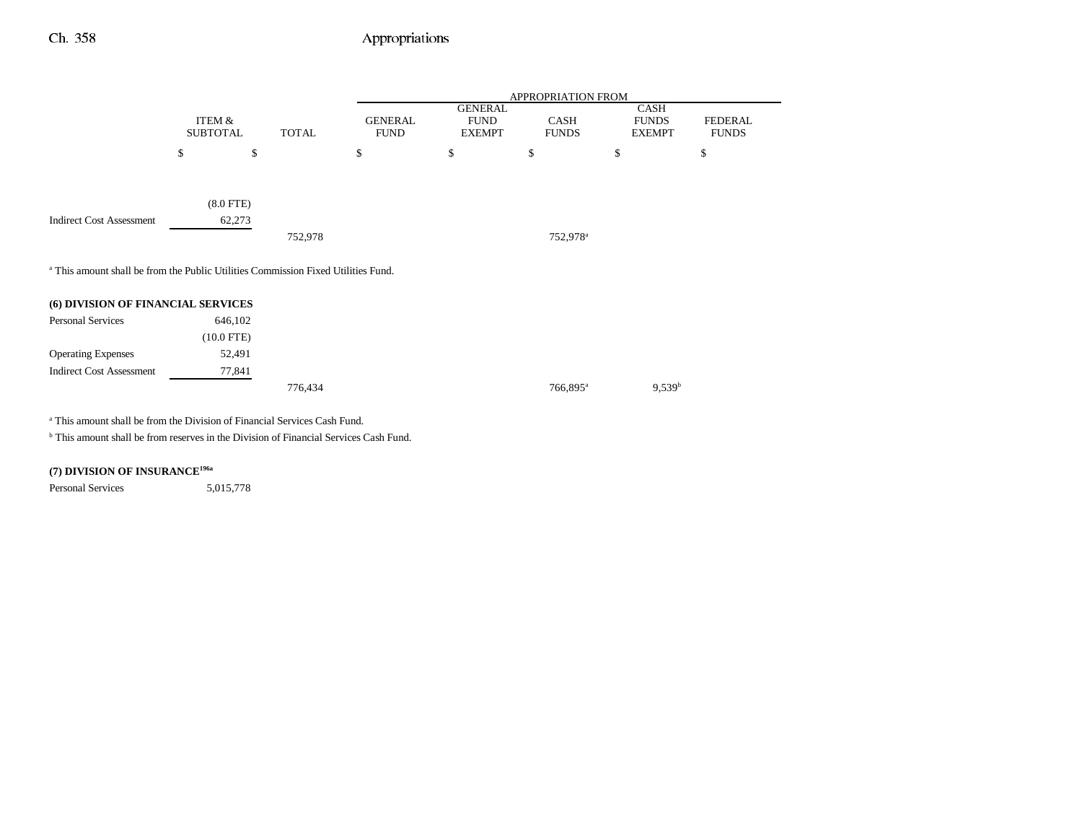-

|                                                                                              | APPROPRIATION FROM |              |                |                |                      |               |              |
|----------------------------------------------------------------------------------------------|--------------------|--------------|----------------|----------------|----------------------|---------------|--------------|
|                                                                                              |                    |              |                | <b>GENERAL</b> |                      | <b>CASH</b>   |              |
|                                                                                              | ITEM &             |              | <b>GENERAL</b> | <b>FUND</b>    | CASH                 | <b>FUNDS</b>  | FEDERAL      |
|                                                                                              | <b>SUBTOTAL</b>    | <b>TOTAL</b> | <b>FUND</b>    | <b>EXEMPT</b>  | <b>FUNDS</b>         | <b>EXEMPT</b> | <b>FUNDS</b> |
|                                                                                              | \$                 | \$           | \$             | \$             | \$                   | \$            | \$           |
|                                                                                              |                    |              |                |                |                      |               |              |
|                                                                                              | $(8.0$ FTE $)$     |              |                |                |                      |               |              |
| <b>Indirect Cost Assessment</b>                                                              | 62,273             |              |                |                |                      |               |              |
|                                                                                              |                    | 752,978      |                |                | 752,978 <sup>a</sup> |               |              |
|                                                                                              |                    |              |                |                |                      |               |              |
| <sup>a</sup> This amount shall be from the Public Utilities Commission Fixed Utilities Fund. |                    |              |                |                |                      |               |              |
|                                                                                              |                    |              |                |                |                      |               |              |
| (6) DIVISION OF FINANCIAL SERVICES                                                           |                    |              |                |                |                      |               |              |
| <b>Personal Services</b>                                                                     | 646,102            |              |                |                |                      |               |              |
|                                                                                              | $(10.0$ FTE)       |              |                |                |                      |               |              |
| <b>Operating Expenses</b>                                                                    | 52,491             |              |                |                |                      |               |              |
| <b>Indirect Cost Assessment</b>                                                              | 77,841             |              |                |                |                      |               |              |

 $776,434$   $766,895^a$   $9,539^b$ 

a This amount shall be from the Division of Financial Services Cash Fund.

<sup>b</sup> This amount shall be from reserves in the Division of Financial Services Cash Fund.

### **(7) DIVISION OF INSURANCE196a**

Personal Services 5,015,778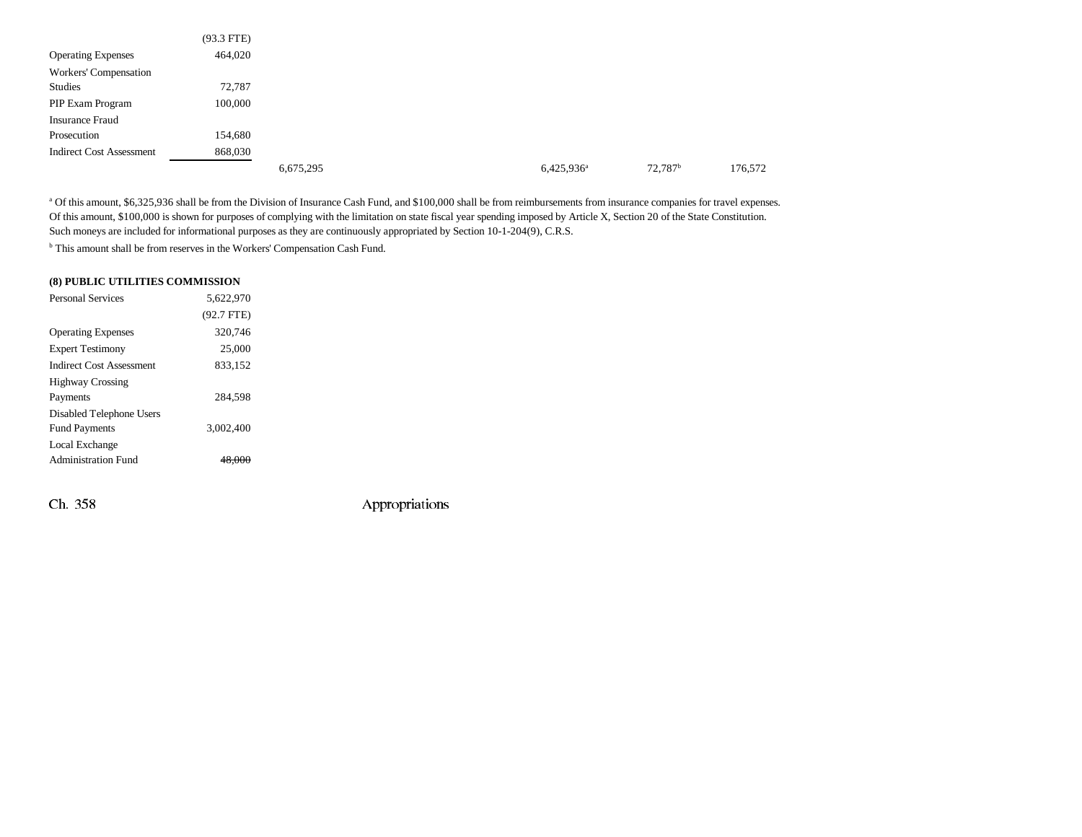|                                 | $(93.3$ FTE) |           |               |  |
|---------------------------------|--------------|-----------|---------------|--|
| <b>Operating Expenses</b>       | 464,020      |           |               |  |
| Workers' Compensation           |              |           |               |  |
| Studies                         | 72,787       |           |               |  |
| PIP Exam Program                | 100,000      |           |               |  |
| <b>Insurance Fraud</b>          |              |           |               |  |
| Prosecution                     | 154,680      |           |               |  |
| <b>Indirect Cost Assessment</b> | 868,030      |           |               |  |
|                                 |              | 6,675,295 | $6,425,936^a$ |  |

a Of this amount, \$6,325,936 shall be from the Division of Insurance Cash Fund, and \$100,000 shall be from reimbursements from insurance companies for travel expenses. Of this amount, \$100,000 is shown for purposes of complying with the limitation on state fiscal year spending imposed by Article X, Section 20 of the State Constitution. Such moneys are included for informational purposes as they are continuously appropriated by Section 10-1-204(9), C.R.S.

<sup>b</sup> This amount shall be from reserves in the Workers' Compensation Cash Fund.

#### **(8) PUBLIC UTILITIES COMMISSION**

| <b>Personal Services</b>        | 5.622.970    |  |
|---------------------------------|--------------|--|
|                                 | $(92.7$ FTE) |  |
| <b>Operating Expenses</b>       | 320,746      |  |
| <b>Expert Testimony</b>         | 25,000       |  |
| <b>Indirect Cost Assessment</b> | 833.152      |  |
| <b>Highway Crossing</b>         |              |  |
| Payments                        | 284.598      |  |
| Disabled Telephone Users        |              |  |
| <b>Fund Payments</b>            | 3.002.400    |  |
| Local Exchange                  |              |  |
| <b>Administration Fund</b>      |              |  |
|                                 |              |  |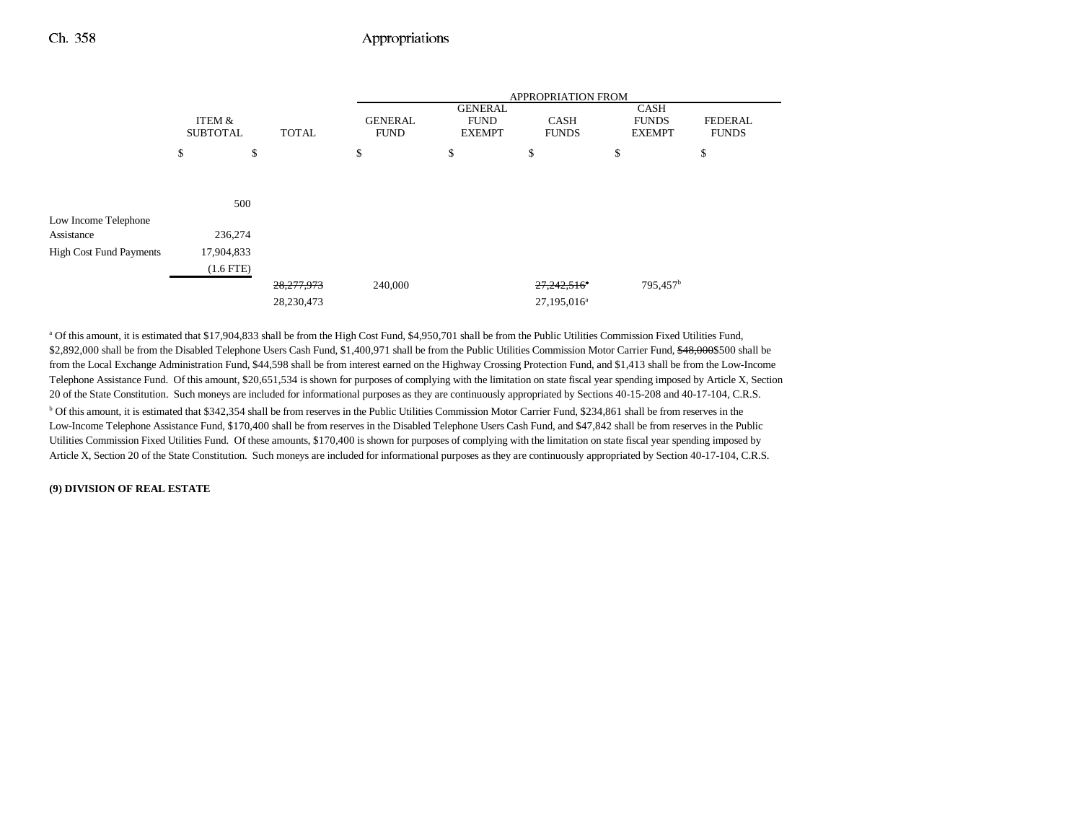|                                |                           |              |                               | APPROPRIATION FROM                             |                             |                                              |                                |  |
|--------------------------------|---------------------------|--------------|-------------------------------|------------------------------------------------|-----------------------------|----------------------------------------------|--------------------------------|--|
|                                | ITEM &<br><b>SUBTOTAL</b> | <b>TOTAL</b> | <b>GENERAL</b><br><b>FUND</b> | <b>GENERAL</b><br><b>FUND</b><br><b>EXEMPT</b> | <b>CASH</b><br><b>FUNDS</b> | <b>CASH</b><br><b>FUNDS</b><br><b>EXEMPT</b> | <b>FEDERAL</b><br><b>FUNDS</b> |  |
|                                | \$                        | \$           | \$                            | \$                                             | \$                          | \$                                           | \$                             |  |
|                                |                           |              |                               |                                                |                             |                                              |                                |  |
|                                | 500                       |              |                               |                                                |                             |                                              |                                |  |
| Low Income Telephone           |                           |              |                               |                                                |                             |                                              |                                |  |
| Assistance                     | 236,274                   |              |                               |                                                |                             |                                              |                                |  |
| <b>High Cost Fund Payments</b> | 17,904,833                |              |                               |                                                |                             |                                              |                                |  |
|                                | $(1.6$ FTE $)$            |              |                               |                                                |                             |                                              |                                |  |
|                                |                           | 28,277,973   | 240,000                       |                                                | 27,242,516 <sup>*</sup>     | 795,457 <sup>b</sup>                         |                                |  |
|                                |                           | 28,230,473   |                               |                                                | 27,195,016 <sup>a</sup>     |                                              |                                |  |

<sup>a</sup> Of this amount, it is estimated that \$17,904,833 shall be from the High Cost Fund, \$4,950,701 shall be from the Public Utilities Commission Fixed Utilities Fund, \$2,892,000 shall be from the Disabled Telephone Users Cash Fund, \$1,400,971 shall be from the Public Utilities Commission Motor Carrier Fund, \$48,000\$500 shall be from the Local Exchange Administration Fund, \$44,598 shall be from interest earned on the Highway Crossing Protection Fund, and \$1,413 shall be from the Low-Income Telephone Assistance Fund. Of this amount, \$20,651,534 is shown for purposes of complying with the limitation on state fiscal year spending imposed by Article X, Section 20 of the State Constitution. Such moneys are included for informational purposes as they are continuously appropriated by Sections 40-15-208 and 40-17-104, C.R.S. <sup>b</sup> Of this amount, it is estimated that \$342,354 shall be from reserves in the Public Utilities Commission Motor Carrier Fund, \$234,861 shall be from reserves in the Low-Income Telephone Assistance Fund, \$170,400 shall be from reserves in the Disabled Telephone Users Cash Fund, and \$47,842 shall be from reserves in the Public Utilities Commission Fixed Utilities Fund. Of these amounts, \$170,400 is shown for purposes of complying with the limitation on state fiscal year spending imposed by Article X, Section 20 of the State Constitution. Such moneys are included for informational purposes as they are continuously appropriated by Section 40-17-104, C.R.S.

#### **(9) DIVISION OF REAL ESTATE**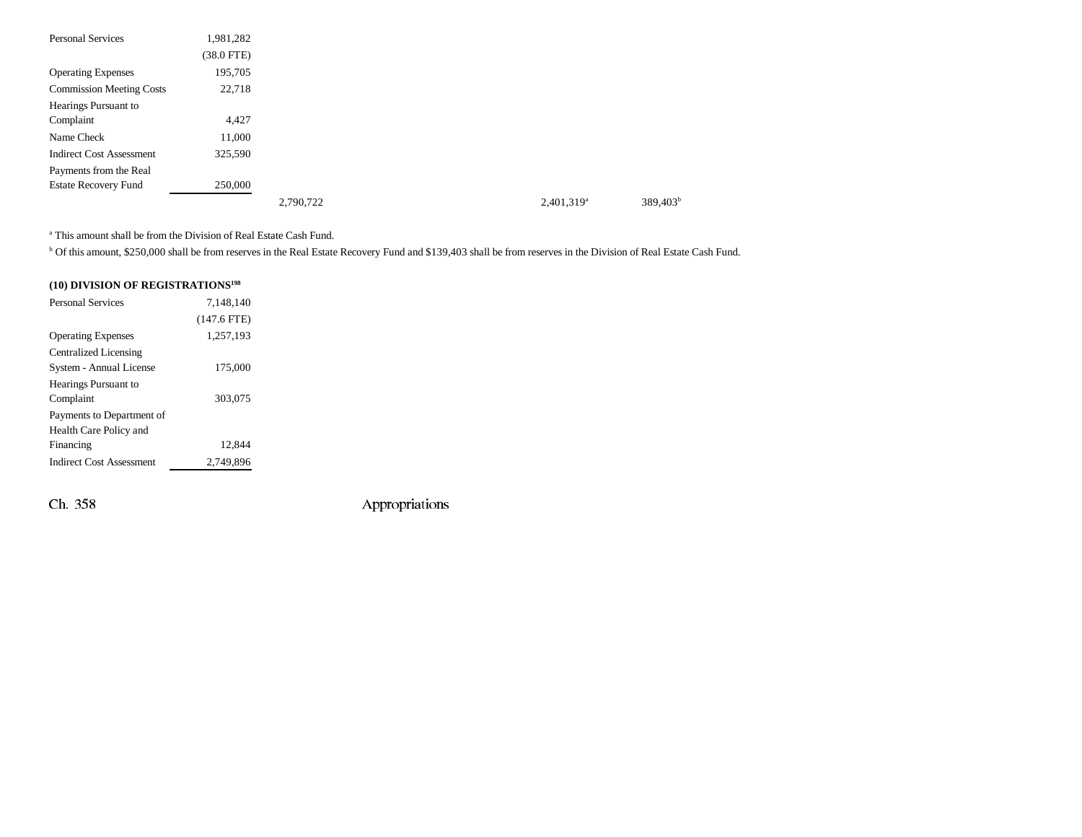| <b>Personal Services</b>        | 1,981,282    |           |  |               |             |
|---------------------------------|--------------|-----------|--|---------------|-------------|
|                                 | $(38.0$ FTE) |           |  |               |             |
| <b>Operating Expenses</b>       | 195,705      |           |  |               |             |
| <b>Commission Meeting Costs</b> | 22,718       |           |  |               |             |
| Hearings Pursuant to            |              |           |  |               |             |
| Complaint                       | 4,427        |           |  |               |             |
| Name Check                      | 11,000       |           |  |               |             |
| <b>Indirect Cost Assessment</b> | 325,590      |           |  |               |             |
| Payments from the Real          |              |           |  |               |             |
| <b>Estate Recovery Fund</b>     | 250,000      |           |  |               |             |
|                                 |              | 2,790,722 |  | $2.401.319^a$ | $389,403^b$ |

a This amount shall be from the Division of Real Estate Cash Fund.

b Of this amount, \$250,000 shall be from reserves in the Real Estate Recovery Fund and \$139,403 shall be from reserves in the Division of Real Estate Cash Fund.

### **(10) DIVISION OF REGISTRATIONS198**

| 7.148.140     |  |
|---------------|--|
| $(147.6$ FTE) |  |
| 1,257,193     |  |
|               |  |
| 175,000       |  |
|               |  |
| 303,075       |  |
|               |  |
|               |  |
| 12.844        |  |
| 2,749,896     |  |
|               |  |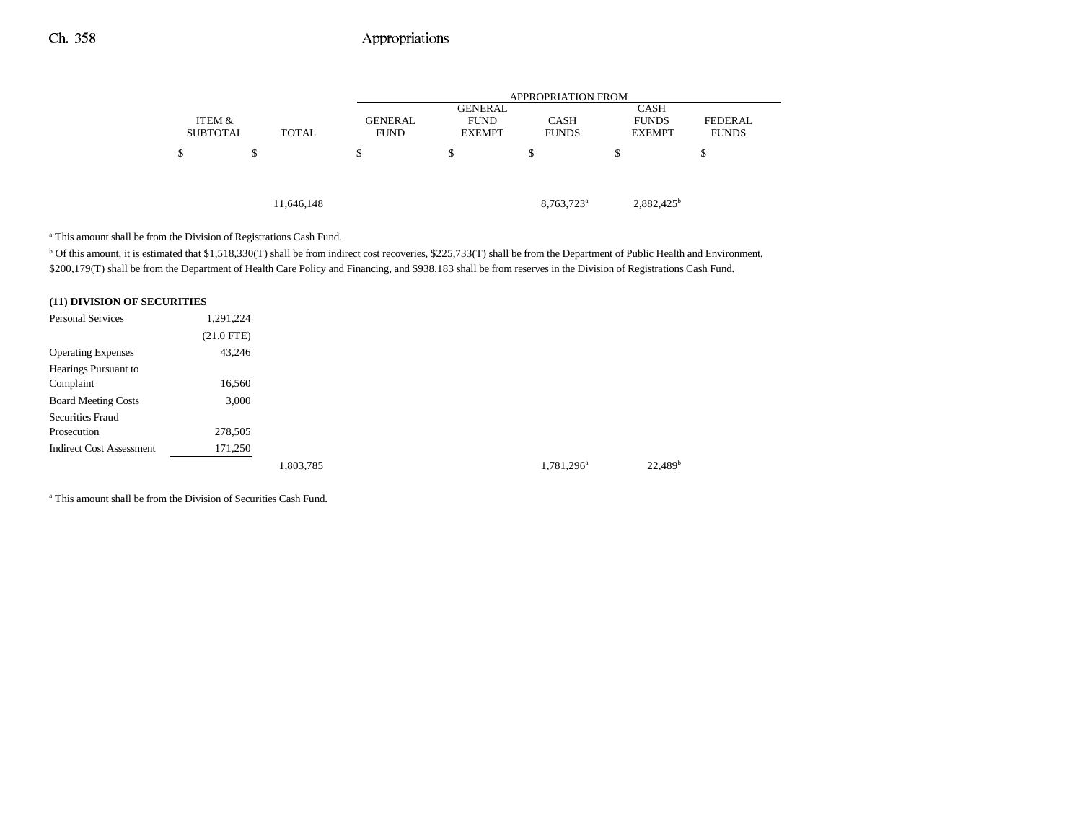|                           |              | <b>APPROPRIATION FROM</b>     |                              |                             |                               |                                |
|---------------------------|--------------|-------------------------------|------------------------------|-----------------------------|-------------------------------|--------------------------------|
|                           |              |                               | <b>GENERAL</b>               |                             | <b>CASH</b>                   |                                |
| ITEM &<br><b>SUBTOTAL</b> | <b>TOTAL</b> | <b>GENERAL</b><br><b>FUND</b> | <b>FUND</b><br><b>EXEMPT</b> | <b>CASH</b><br><b>FUNDS</b> | <b>FUNDS</b><br><b>EXEMPT</b> | <b>FEDERAL</b><br><b>FUNDS</b> |
|                           |              |                               |                              |                             |                               |                                |
| \$                        | \$           | \$                            | \$                           | \$                          | \$                            | S                              |
|                           |              |                               |                              |                             |                               |                                |
|                           |              |                               |                              |                             |                               |                                |
|                           | 11,646,148   |                               |                              | 8,763,723 <sup>a</sup>      | $2,882,425^b$                 |                                |

a This amount shall be from the Division of Registrations Cash Fund.

<sup>b</sup> Of this amount, it is estimated that \$1,518,330(T) shall be from indirect cost recoveries, \$225,733(T) shall be from the Department of Public Health and Environment, \$200,179(T) shall be from the Department of Health Care Policy and Financing, and \$938,183 shall be from reserves in the Division of Registrations Cash Fund.

#### **(11) DIVISION OF SECURITIES**

| <b>Personal Services</b>        | 1,291,224    |           |                        |                     |
|---------------------------------|--------------|-----------|------------------------|---------------------|
|                                 | $(21.0$ FTE) |           |                        |                     |
| <b>Operating Expenses</b>       | 43,246       |           |                        |                     |
| Hearings Pursuant to            |              |           |                        |                     |
| Complaint                       | 16,560       |           |                        |                     |
| <b>Board Meeting Costs</b>      | 3,000        |           |                        |                     |
| <b>Securities Fraud</b>         |              |           |                        |                     |
| Prosecution                     | 278,505      |           |                        |                     |
| <b>Indirect Cost Assessment</b> | 171,250      |           |                        |                     |
|                                 |              | 1,803,785 | 1,781,296 <sup>a</sup> | 22.489 <sup>b</sup> |

a This amount shall be from the Division of Securities Cash Fund.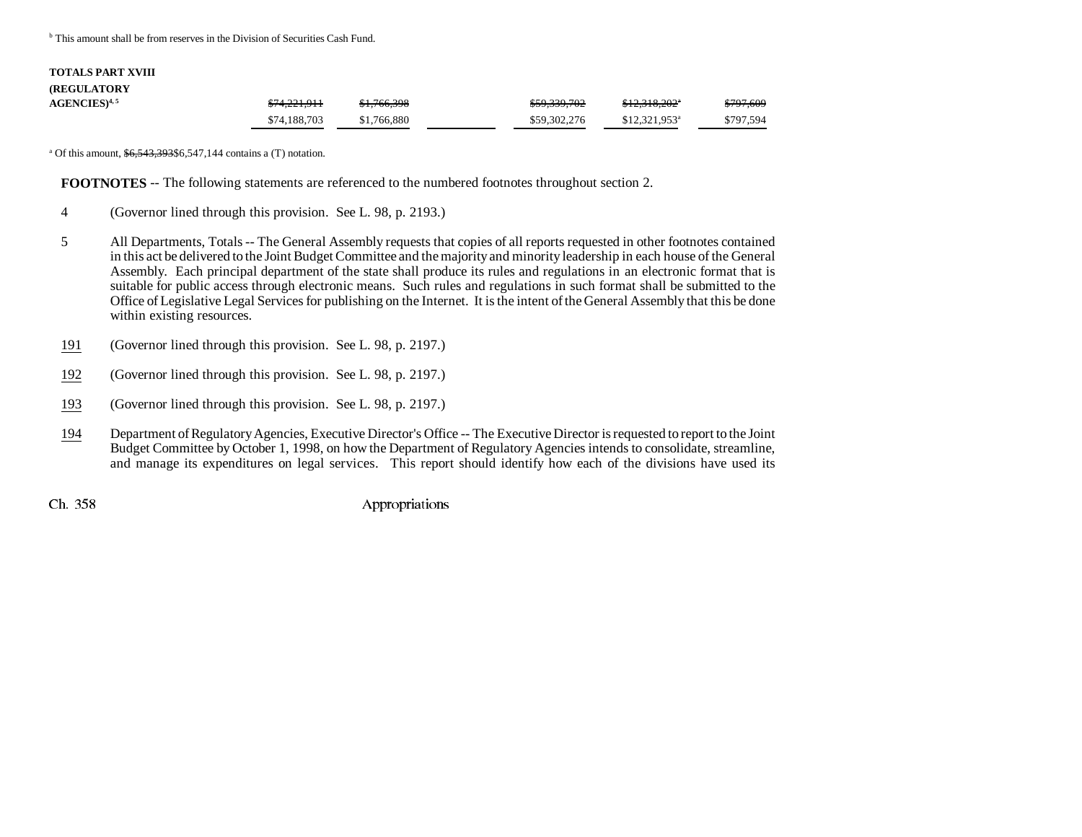<sup>b</sup> This amount shall be from reserves in the Division of Securities Cash Fund.

| <b>TOTALS PART XVIII</b>   |              |             |              |                            |           |
|----------------------------|--------------|-------------|--------------|----------------------------|-----------|
| <b>(REGULATORY)</b>        |              |             |              |                            |           |
| $AGENCIES$ <sup>4, 5</sup> | \$74,221,911 | \$1,766,398 | \$59,339,702 | <del>\$12,318,202</del> °  | \$797,609 |
|                            | \$74,188,703 | \$1,766,880 | \$59,302,276 | $$12.321.953$ <sup>a</sup> | \$797,594 |

<sup>a</sup> Of this amount,  $\frac{$6,543,393,86,547,144}{4}$  contains a (T) notation.

**FOOTNOTES** -- The following statements are referenced to the numbered footnotes throughout section 2.

- 4 (Governor lined through this provision. See L. 98, p. 2193.)
- 5 All Departments, Totals -- The General Assembly requests that copies of all reports requested in other footnotes contained in this act be delivered to the Joint Budget Committee and the majority and minority leadership in each house of the General Assembly. Each principal department of the state shall produce its rules and regulations in an electronic format that is suitable for public access through electronic means. Such rules and regulations in such format shall be submitted to the Office of Legislative Legal Services for publishing on the Internet. It is the intent of the General Assembly that this be done within existing resources.
- 191(Governor lined through this provision. See L. 98, p. 2197.)
- 192(Governor lined through this provision. See L. 98, p. 2197.)
- 193(Governor lined through this provision. See L. 98, p. 2197.)
- 194 Department of Regulatory Agencies, Executive Director's Office -- The Executive Director is requested to report to the Joint Budget Committee by October 1, 1998, on how the Department of Regulatory Agencies intends to consolidate, streamline, and manage its expenditures on legal services. This report should identify how each of the divisions have used its